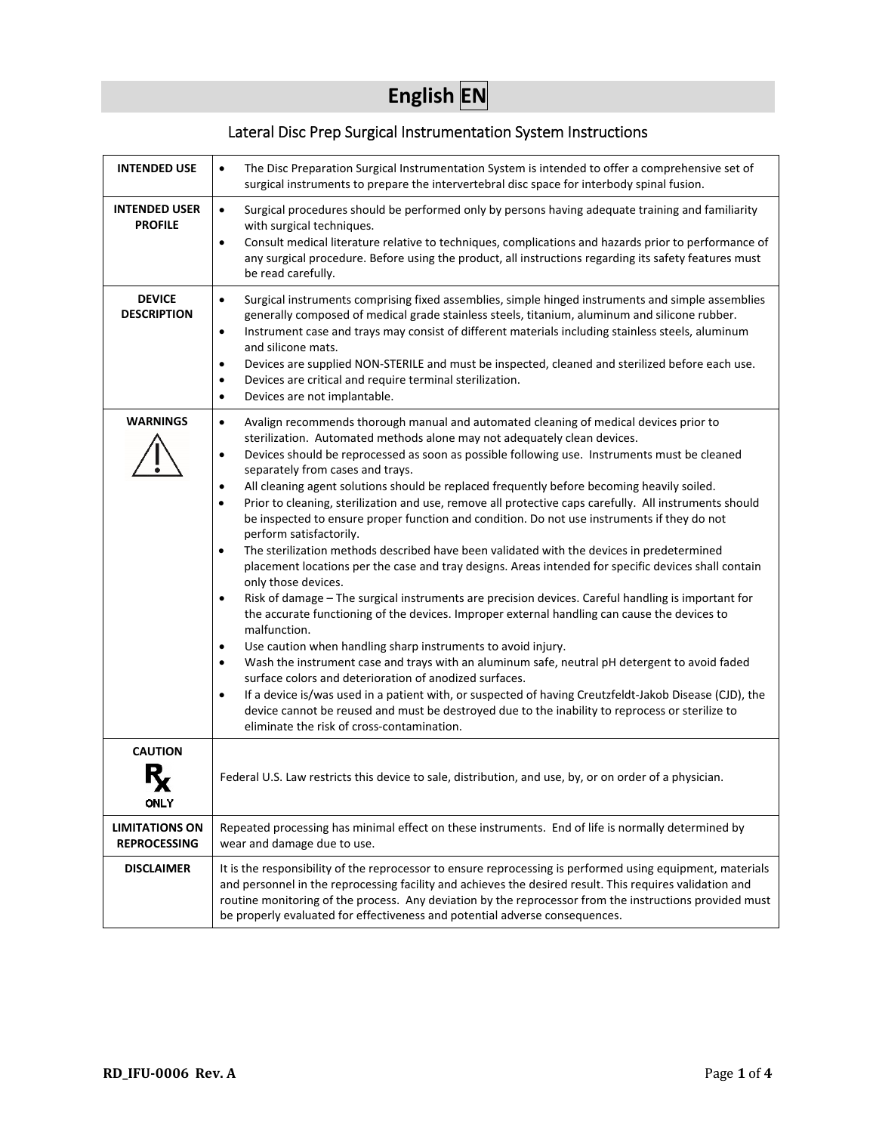# **English EN**

### Lateral Disc Prep Surgical Instrumentation System Instructions

| <b>INTENDED USE</b>                          | The Disc Preparation Surgical Instrumentation System is intended to offer a comprehensive set of<br>surgical instruments to prepare the intervertebral disc space for interbody spinal fusion.                                                                                                                                                                                                                                                                                                                                                                                                                                                                                                                                                                                                                                                                                                                                                                                                                                                                                                                                                                                                                                                                                                                                                                                                                                                                                                                                                                                                                                                                                               |
|----------------------------------------------|----------------------------------------------------------------------------------------------------------------------------------------------------------------------------------------------------------------------------------------------------------------------------------------------------------------------------------------------------------------------------------------------------------------------------------------------------------------------------------------------------------------------------------------------------------------------------------------------------------------------------------------------------------------------------------------------------------------------------------------------------------------------------------------------------------------------------------------------------------------------------------------------------------------------------------------------------------------------------------------------------------------------------------------------------------------------------------------------------------------------------------------------------------------------------------------------------------------------------------------------------------------------------------------------------------------------------------------------------------------------------------------------------------------------------------------------------------------------------------------------------------------------------------------------------------------------------------------------------------------------------------------------------------------------------------------------|
| <b>INTENDED USER</b><br><b>PROFILE</b>       | Surgical procedures should be performed only by persons having adequate training and familiarity<br>$\bullet$<br>with surgical techniques.<br>Consult medical literature relative to techniques, complications and hazards prior to performance of<br>$\bullet$<br>any surgical procedure. Before using the product, all instructions regarding its safety features must<br>be read carefully.                                                                                                                                                                                                                                                                                                                                                                                                                                                                                                                                                                                                                                                                                                                                                                                                                                                                                                                                                                                                                                                                                                                                                                                                                                                                                               |
| <b>DEVICE</b><br><b>DESCRIPTION</b>          | Surgical instruments comprising fixed assemblies, simple hinged instruments and simple assemblies<br>$\bullet$<br>generally composed of medical grade stainless steels, titanium, aluminum and silicone rubber.<br>Instrument case and trays may consist of different materials including stainless steels, aluminum<br>$\bullet$<br>and silicone mats.<br>Devices are supplied NON-STERILE and must be inspected, cleaned and sterilized before each use.<br>٠<br>Devices are critical and require terminal sterilization.<br>$\bullet$<br>Devices are not implantable.<br>$\bullet$                                                                                                                                                                                                                                                                                                                                                                                                                                                                                                                                                                                                                                                                                                                                                                                                                                                                                                                                                                                                                                                                                                        |
| <b>WARNINGS</b>                              | Avalign recommends thorough manual and automated cleaning of medical devices prior to<br>$\bullet$<br>sterilization. Automated methods alone may not adequately clean devices.<br>Devices should be reprocessed as soon as possible following use. Instruments must be cleaned<br>$\bullet$<br>separately from cases and trays.<br>All cleaning agent solutions should be replaced frequently before becoming heavily soiled.<br>$\bullet$<br>Prior to cleaning, sterilization and use, remove all protective caps carefully. All instruments should<br>٠<br>be inspected to ensure proper function and condition. Do not use instruments if they do not<br>perform satisfactorily.<br>The sterilization methods described have been validated with the devices in predetermined<br>$\bullet$<br>placement locations per the case and tray designs. Areas intended for specific devices shall contain<br>only those devices.<br>Risk of damage - The surgical instruments are precision devices. Careful handling is important for<br>$\bullet$<br>the accurate functioning of the devices. Improper external handling can cause the devices to<br>malfunction.<br>Use caution when handling sharp instruments to avoid injury.<br>$\bullet$<br>Wash the instrument case and trays with an aluminum safe, neutral pH detergent to avoid faded<br>$\bullet$<br>surface colors and deterioration of anodized surfaces.<br>If a device is/was used in a patient with, or suspected of having Creutzfeldt-Jakob Disease (CJD), the<br>$\bullet$<br>device cannot be reused and must be destroyed due to the inability to reprocess or sterilize to<br>eliminate the risk of cross-contamination. |
| <b>CAUTION</b>                               |                                                                                                                                                                                                                                                                                                                                                                                                                                                                                                                                                                                                                                                                                                                                                                                                                                                                                                                                                                                                                                                                                                                                                                                                                                                                                                                                                                                                                                                                                                                                                                                                                                                                                              |
| ONLY                                         | Federal U.S. Law restricts this device to sale, distribution, and use, by, or on order of a physician.                                                                                                                                                                                                                                                                                                                                                                                                                                                                                                                                                                                                                                                                                                                                                                                                                                                                                                                                                                                                                                                                                                                                                                                                                                                                                                                                                                                                                                                                                                                                                                                       |
| <b>LIMITATIONS ON</b><br><b>REPROCESSING</b> | Repeated processing has minimal effect on these instruments. End of life is normally determined by<br>wear and damage due to use.                                                                                                                                                                                                                                                                                                                                                                                                                                                                                                                                                                                                                                                                                                                                                                                                                                                                                                                                                                                                                                                                                                                                                                                                                                                                                                                                                                                                                                                                                                                                                            |
| <b>DISCLAIMER</b>                            | It is the responsibility of the reprocessor to ensure reprocessing is performed using equipment, materials<br>and personnel in the reprocessing facility and achieves the desired result. This requires validation and<br>routine monitoring of the process. Any deviation by the reprocessor from the instructions provided must<br>be properly evaluated for effectiveness and potential adverse consequences.                                                                                                                                                                                                                                                                                                                                                                                                                                                                                                                                                                                                                                                                                                                                                                                                                                                                                                                                                                                                                                                                                                                                                                                                                                                                             |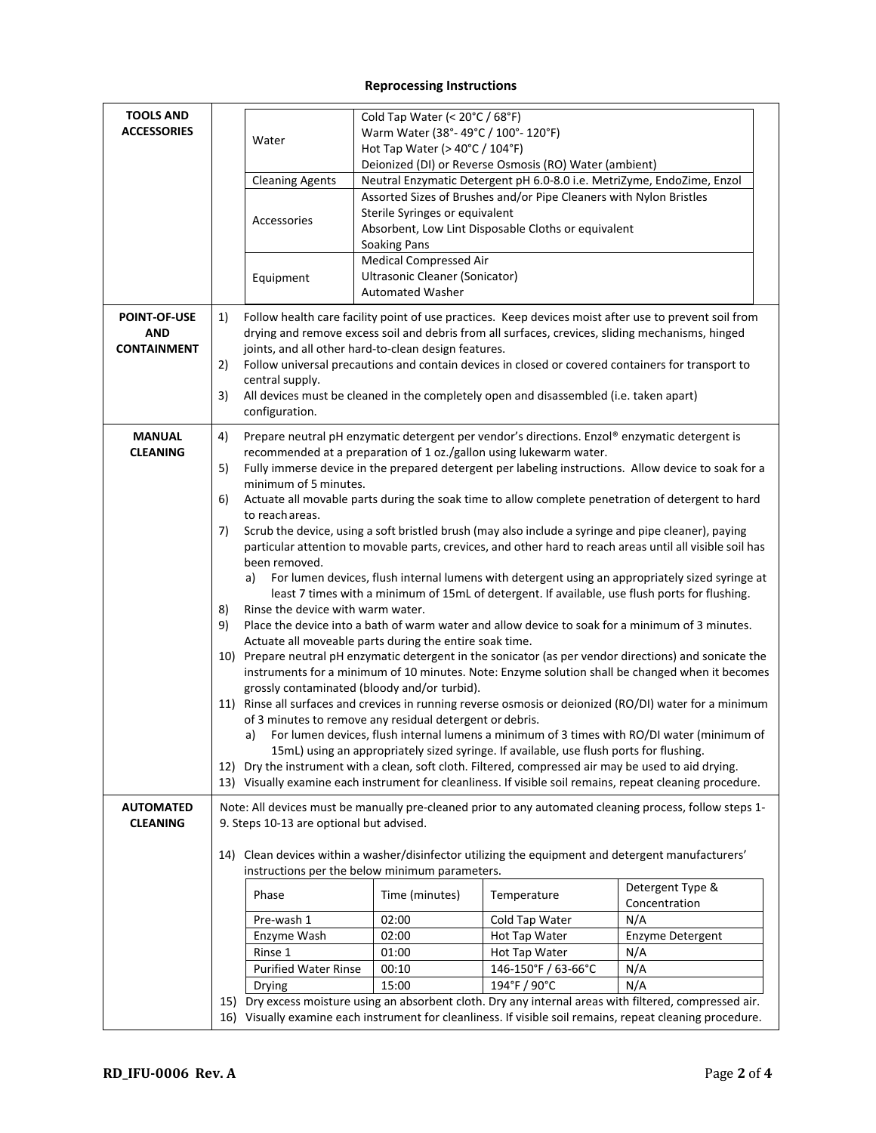#### **Reprocessing Instructions**

| <b>TOOLS AND</b><br><b>ACCESSORIES</b>           | Water<br><b>Cleaning Agents</b><br>Accessories                                                                                     | Cold Tap Water (< 20°C / 68°F)<br>Warm Water (38°-49°C / 100°-120°F)<br>Hot Tap Water (> 40°C / 104°F)<br>Sterile Syringes or equivalent                                                                                                                                                                                                                                                                                                                                                                                                                                                                                                                                                                                                                                                                                                                                                                                                                                                                                                                                                                                                                                                                                                                                                                                                                                                                                                                                                                                                                                                                                                                                                                                                                                                                                                                                                 | Deionized (DI) or Reverse Osmosis (RO) Water (ambient)<br>Neutral Enzymatic Detergent pH 6.0-8.0 i.e. MetriZyme, EndoZime, Enzol<br>Assorted Sizes of Brushes and/or Pipe Cleaners with Nylon Bristles |                                                                                                                                                                                                                                                                                                                                                                                                                                                                                                                            |  |
|--------------------------------------------------|------------------------------------------------------------------------------------------------------------------------------------|------------------------------------------------------------------------------------------------------------------------------------------------------------------------------------------------------------------------------------------------------------------------------------------------------------------------------------------------------------------------------------------------------------------------------------------------------------------------------------------------------------------------------------------------------------------------------------------------------------------------------------------------------------------------------------------------------------------------------------------------------------------------------------------------------------------------------------------------------------------------------------------------------------------------------------------------------------------------------------------------------------------------------------------------------------------------------------------------------------------------------------------------------------------------------------------------------------------------------------------------------------------------------------------------------------------------------------------------------------------------------------------------------------------------------------------------------------------------------------------------------------------------------------------------------------------------------------------------------------------------------------------------------------------------------------------------------------------------------------------------------------------------------------------------------------------------------------------------------------------------------------------|--------------------------------------------------------------------------------------------------------------------------------------------------------------------------------------------------------|----------------------------------------------------------------------------------------------------------------------------------------------------------------------------------------------------------------------------------------------------------------------------------------------------------------------------------------------------------------------------------------------------------------------------------------------------------------------------------------------------------------------------|--|
|                                                  | Equipment                                                                                                                          | Soaking Pans<br><b>Medical Compressed Air</b><br>Ultrasonic Cleaner (Sonicator)<br><b>Automated Washer</b>                                                                                                                                                                                                                                                                                                                                                                                                                                                                                                                                                                                                                                                                                                                                                                                                                                                                                                                                                                                                                                                                                                                                                                                                                                                                                                                                                                                                                                                                                                                                                                                                                                                                                                                                                                               | Absorbent, Low Lint Disposable Cloths or equivalent                                                                                                                                                    |                                                                                                                                                                                                                                                                                                                                                                                                                                                                                                                            |  |
| <b>POINT-OF-USE</b><br>AND<br><b>CONTAINMENT</b> | 1)<br>2)<br>central supply.<br>3)<br>configuration.                                                                                | Follow health care facility point of use practices. Keep devices moist after use to prevent soil from<br>drying and remove excess soil and debris from all surfaces, crevices, sliding mechanisms, hinged<br>joints, and all other hard-to-clean design features.<br>Follow universal precautions and contain devices in closed or covered containers for transport to<br>All devices must be cleaned in the completely open and disassembled (i.e. taken apart)                                                                                                                                                                                                                                                                                                                                                                                                                                                                                                                                                                                                                                                                                                                                                                                                                                                                                                                                                                                                                                                                                                                                                                                                                                                                                                                                                                                                                         |                                                                                                                                                                                                        |                                                                                                                                                                                                                                                                                                                                                                                                                                                                                                                            |  |
| <b>MANUAL</b><br><b>CLEANING</b>                 | 4)<br>5)<br>6)<br>to reachareas.<br>7)<br>been removed.<br>a)<br>8)<br>9)<br>a)                                                    | Prepare neutral pH enzymatic detergent per vendor's directions. Enzol® enzymatic detergent is<br>recommended at a preparation of 1 oz./gallon using lukewarm water.<br>Fully immerse device in the prepared detergent per labeling instructions. Allow device to soak for a<br>minimum of 5 minutes.<br>Actuate all movable parts during the soak time to allow complete penetration of detergent to hard<br>Scrub the device, using a soft bristled brush (may also include a syringe and pipe cleaner), paying<br>particular attention to movable parts, crevices, and other hard to reach areas until all visible soil has<br>For lumen devices, flush internal lumens with detergent using an appropriately sized syringe at<br>least 7 times with a minimum of 15mL of detergent. If available, use flush ports for flushing.<br>Rinse the device with warm water.<br>Place the device into a bath of warm water and allow device to soak for a minimum of 3 minutes.<br>Actuate all moveable parts during the entire soak time.<br>10) Prepare neutral pH enzymatic detergent in the sonicator (as per vendor directions) and sonicate the<br>instruments for a minimum of 10 minutes. Note: Enzyme solution shall be changed when it becomes<br>grossly contaminated (bloody and/or turbid).<br>11) Rinse all surfaces and crevices in running reverse osmosis or deionized (RO/DI) water for a minimum<br>of 3 minutes to remove any residual detergent or debris.<br>For lumen devices, flush internal lumens a minimum of 3 times with RO/DI water (minimum of<br>15mL) using an appropriately sized syringe. If available, use flush ports for flushing.<br>12) Dry the instrument with a clean, soft cloth. Filtered, compressed air may be used to aid drying.<br>13) Visually examine each instrument for cleanliness. If visible soil remains, repeat cleaning procedure. |                                                                                                                                                                                                        |                                                                                                                                                                                                                                                                                                                                                                                                                                                                                                                            |  |
| <b>AUTOMATED</b><br><b>CLEANING</b>              | 9. Steps 10-13 are optional but advised.<br>Phase<br>Pre-wash 1<br>Enzyme Wash<br>Rinse 1<br><b>Purified Water Rinse</b><br>Drying | instructions per the below minimum parameters.<br>Time (minutes)<br>02:00<br>02:00<br>01:00<br>00:10<br>15:00                                                                                                                                                                                                                                                                                                                                                                                                                                                                                                                                                                                                                                                                                                                                                                                                                                                                                                                                                                                                                                                                                                                                                                                                                                                                                                                                                                                                                                                                                                                                                                                                                                                                                                                                                                            | Temperature<br>Cold Tap Water<br>Hot Tap Water<br>Hot Tap Water<br>146-150°F / 63-66°C<br>194°F / 90°C                                                                                                 | Note: All devices must be manually pre-cleaned prior to any automated cleaning process, follow steps 1-<br>14) Clean devices within a washer/disinfector utilizing the equipment and detergent manufacturers'<br>Detergent Type &<br>Concentration<br>N/A<br>Enzyme Detergent<br>N/A<br>N/A<br>N/A<br>15) Dry excess moisture using an absorbent cloth. Dry any internal areas with filtered, compressed air.<br>16) Visually examine each instrument for cleanliness. If visible soil remains, repeat cleaning procedure. |  |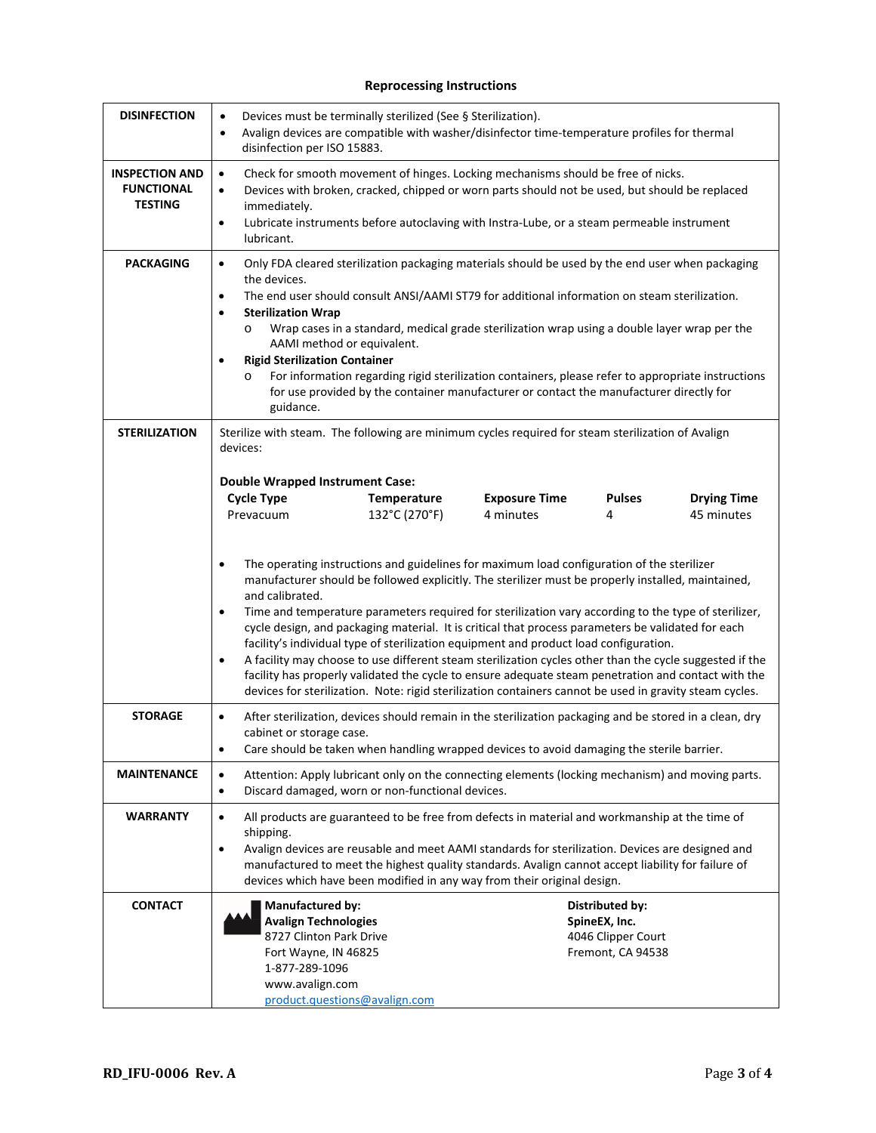#### **Reprocessing Instructions**

| <b>DISINFECTION</b>                                          | Devices must be terminally sterilized (See § Sterilization).<br>$\bullet$<br>Avalign devices are compatible with washer/disinfector time-temperature profiles for thermal<br>$\bullet$<br>disinfection per ISO 15883.                                                                                                                                                                                                                                                                                                                                                                                                                                                                                                                                                                                                                                                                                                                                                                                                                                                                                                                                                                                                       |  |  |
|--------------------------------------------------------------|-----------------------------------------------------------------------------------------------------------------------------------------------------------------------------------------------------------------------------------------------------------------------------------------------------------------------------------------------------------------------------------------------------------------------------------------------------------------------------------------------------------------------------------------------------------------------------------------------------------------------------------------------------------------------------------------------------------------------------------------------------------------------------------------------------------------------------------------------------------------------------------------------------------------------------------------------------------------------------------------------------------------------------------------------------------------------------------------------------------------------------------------------------------------------------------------------------------------------------|--|--|
| <b>INSPECTION AND</b><br><b>FUNCTIONAL</b><br><b>TESTING</b> | Check for smooth movement of hinges. Locking mechanisms should be free of nicks.<br>$\bullet$<br>Devices with broken, cracked, chipped or worn parts should not be used, but should be replaced<br>$\bullet$<br>immediately.<br>Lubricate instruments before autoclaving with Instra-Lube, or a steam permeable instrument<br>$\bullet$<br>lubricant.                                                                                                                                                                                                                                                                                                                                                                                                                                                                                                                                                                                                                                                                                                                                                                                                                                                                       |  |  |
| <b>PACKAGING</b>                                             | $\bullet$<br>Only FDA cleared sterilization packaging materials should be used by the end user when packaging<br>the devices.<br>The end user should consult ANSI/AAMI ST79 for additional information on steam sterilization.<br>$\bullet$<br><b>Sterilization Wrap</b><br>$\bullet$<br>Wrap cases in a standard, medical grade sterilization wrap using a double layer wrap per the<br>$\circ$<br>AAMI method or equivalent.<br><b>Rigid Sterilization Container</b><br>٠<br>For information regarding rigid sterilization containers, please refer to appropriate instructions<br>$\circ$<br>for use provided by the container manufacturer or contact the manufacturer directly for<br>guidance.                                                                                                                                                                                                                                                                                                                                                                                                                                                                                                                        |  |  |
| <b>STERILIZATION</b>                                         | Sterilize with steam. The following are minimum cycles required for steam sterilization of Avalign<br>devices:<br><b>Double Wrapped Instrument Case:</b><br><b>Cycle Type</b><br><b>Pulses</b><br>Temperature<br><b>Exposure Time</b><br><b>Drying Time</b><br>132°C (270°F)<br>4 minutes<br>45 minutes<br>Prevacuum<br>4<br>The operating instructions and guidelines for maximum load configuration of the sterilizer<br>$\bullet$<br>manufacturer should be followed explicitly. The sterilizer must be properly installed, maintained,<br>and calibrated.<br>Time and temperature parameters required for sterilization vary according to the type of sterilizer,<br>$\bullet$<br>cycle design, and packaging material. It is critical that process parameters be validated for each<br>facility's individual type of sterilization equipment and product load configuration.<br>A facility may choose to use different steam sterilization cycles other than the cycle suggested if the<br>$\bullet$<br>facility has properly validated the cycle to ensure adequate steam penetration and contact with the<br>devices for sterilization. Note: rigid sterilization containers cannot be used in gravity steam cycles. |  |  |
| <b>STORAGE</b>                                               | After sterilization, devices should remain in the sterilization packaging and be stored in a clean, dry<br>$\bullet$<br>cabinet or storage case.<br>Care should be taken when handling wrapped devices to avoid damaging the sterile barrier.<br>$\bullet$                                                                                                                                                                                                                                                                                                                                                                                                                                                                                                                                                                                                                                                                                                                                                                                                                                                                                                                                                                  |  |  |
| <b>MAINTENANCE</b>                                           | Attention: Apply lubricant only on the connecting elements (locking mechanism) and moving parts.<br>$\bullet$<br>Discard damaged, worn or non-functional devices.<br>$\bullet$                                                                                                                                                                                                                                                                                                                                                                                                                                                                                                                                                                                                                                                                                                                                                                                                                                                                                                                                                                                                                                              |  |  |
| <b>WARRANTY</b>                                              | All products are guaranteed to be free from defects in material and workmanship at the time of<br>$\bullet$<br>shipping.<br>Avalign devices are reusable and meet AAMI standards for sterilization. Devices are designed and<br>$\bullet$<br>manufactured to meet the highest quality standards. Avalign cannot accept liability for failure of<br>devices which have been modified in any way from their original design.                                                                                                                                                                                                                                                                                                                                                                                                                                                                                                                                                                                                                                                                                                                                                                                                  |  |  |
| <b>CONTACT</b>                                               | <b>Manufactured by:</b><br>Distributed by:<br><b>Avalign Technologies</b><br>SpineEX, Inc.<br>8727 Clinton Park Drive<br>4046 Clipper Court<br>Fort Wayne, IN 46825<br>Fremont, CA 94538<br>1-877-289-1096<br>www.avalign.com<br>product.questions@avalign.com                                                                                                                                                                                                                                                                                                                                                                                                                                                                                                                                                                                                                                                                                                                                                                                                                                                                                                                                                              |  |  |